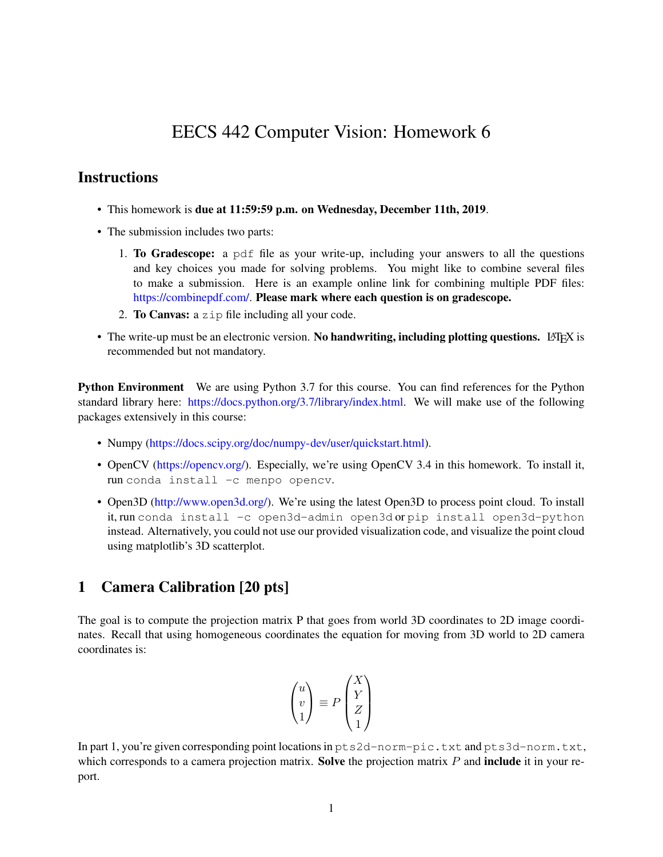# EECS 442 Computer Vision: Homework 6

## **Instructions**

- This homework is due at 11:59:59 p.m. on Wednesday, December 11th, 2019.
- The submission includes two parts:
	- 1. To Gradescope: a pdf file as your write-up, including your answers to all the questions and key choices you made for solving problems. You might like to combine several files to make a submission. Here is an example online link for combining multiple PDF files: [https://combinepdf.com/.](https://combinepdf.com/) Please mark where each question is on gradescope.
	- 2. To Canvas: a zip file including all your code.
- The write-up must be an electronic version. No handwriting, including plotting questions. LATEX is recommended but not mandatory.

Python Environment We are using Python 3.7 for this course. You can find references for the Python standard library here: [https://docs.python.org/3.7/library/index.html.](https://docs.python.org/3.7/library/index.html) We will make use of the following packages extensively in this course:

- Numpy [\(https://docs.scipy.org/doc/numpy-dev/user/quickstart.html\)](https://docs.scipy.org/doc/numpy-dev/user/quickstart.html).
- OpenCV (https://opency.org/). Especially, we're using OpenCV 3.4 in this homework. To install it, run conda install -c menpo opencv.
- Open3D [\(http://www.open3d.org/\)](http://www.open3d.org/). We're using the latest Open3D to process point cloud. To install it, run conda install -c open3d-admin open3d or pip install open3d-python instead. Alternatively, you could not use our provided visualization code, and visualize the point cloud using matplotlib's 3D scatterplot.

#### 1 Camera Calibration [20 pts]

The goal is to compute the projection matrix P that goes from world 3D coordinates to 2D image coordinates. Recall that using homogeneous coordinates the equation for moving from 3D world to 2D camera coordinates is:

$$
\begin{pmatrix} u \\ v \\ 1 \end{pmatrix} \equiv P \begin{pmatrix} X \\ Y \\ Z \\ 1 \end{pmatrix}
$$

In part 1, you're given corresponding point locations in  $pts2d-norm-pic.txt$  and  $pts3d-norm.txt$ , which corresponds to a camera projection matrix. Solve the projection matrix  $P$  and include it in your report.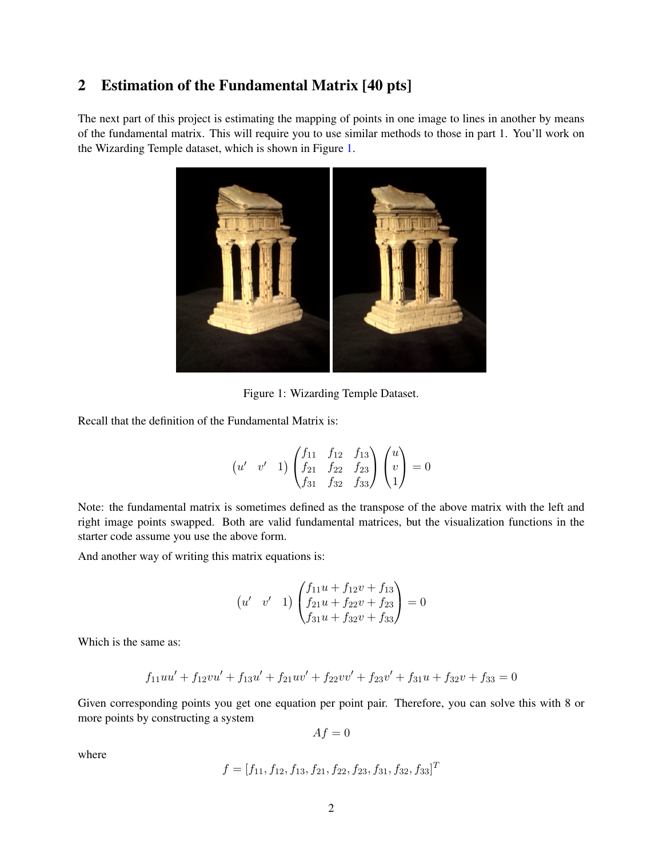## 2 Estimation of the Fundamental Matrix [40 pts]

The next part of this project is estimating the mapping of points in one image to lines in another by means of the fundamental matrix. This will require you to use similar methods to those in part 1. You'll work on the Wizarding Temple dataset, which is shown in Figure [1.](#page-1-0)



Figure 1: Wizarding Temple Dataset.

Recall that the definition of the Fundamental Matrix is:

<span id="page-1-0"></span>
$$
\begin{pmatrix} u' & v' & 1 \end{pmatrix} \begin{pmatrix} f_{11} & f_{12} & f_{13} \\ f_{21} & f_{22} & f_{23} \\ f_{31} & f_{32} & f_{33} \end{pmatrix} \begin{pmatrix} u \\ v \\ 1 \end{pmatrix} = 0
$$

Note: the fundamental matrix is sometimes defined as the transpose of the above matrix with the left and right image points swapped. Both are valid fundamental matrices, but the visualization functions in the starter code assume you use the above form.

And another way of writing this matrix equations is:

$$
\begin{pmatrix} u' & v' & 1 \end{pmatrix} \begin{pmatrix} f_{11}u + f_{12}v + f_{13} \\ f_{21}u + f_{22}v + f_{23} \\ f_{31}u + f_{32}v + f_{33} \end{pmatrix} = 0
$$

Which is the same as:

$$
f_{11}uu' + f_{12}vu' + f_{13}u' + f_{21}uv' + f_{22}vv' + f_{23}v' + f_{31}u + f_{32}v + f_{33} = 0
$$

Given corresponding points you get one equation per point pair. Therefore, you can solve this with 8 or more points by constructing a system

 $Af = 0$ 

where

$$
f = [f_{11}, f_{12}, f_{13}, f_{21}, f_{22}, f_{23}, f_{31}, f_{32}, f_{33}]^T
$$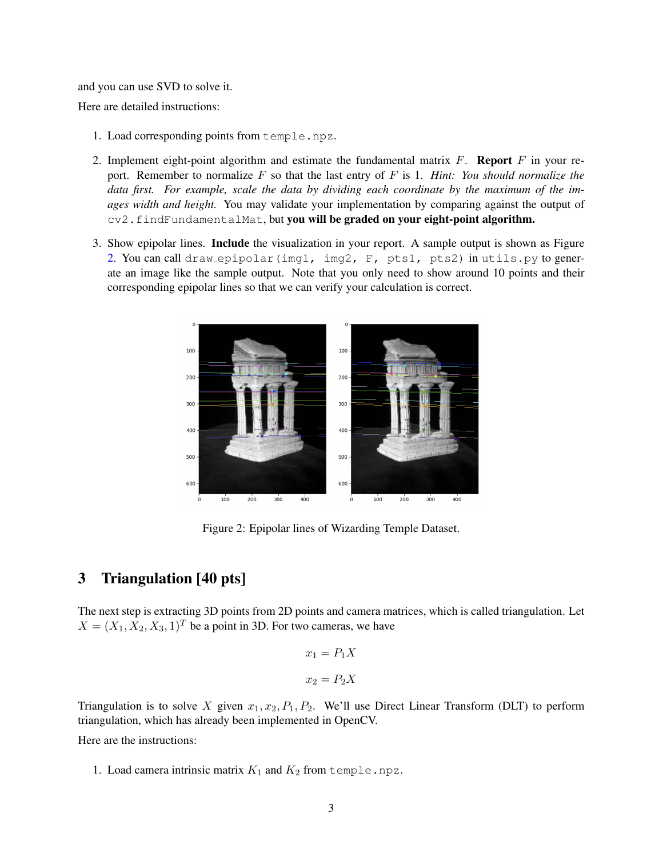and you can use SVD to solve it.

Here are detailed instructions:

- 1. Load corresponding points from temple.npz.
- 2. Implement eight-point algorithm and estimate the fundamental matrix  $F$ . **Report**  $F$  in your report. Remember to normalize F so that the last entry of F is 1. *Hint: You should normalize the data first. For example, scale the data by dividing each coordinate by the maximum of the images width and height.* You may validate your implementation by comparing against the output of cv2.findFundamentalMat, but you will be graded on your eight-point algorithm.
- 3. Show epipolar lines. Include the visualization in your report. A sample output is shown as Figure [2.](#page-2-0) You can call draw epipolar(img1, img2, F, pts1, pts2) in utils.py to generate an image like the sample output. Note that you only need to show around 10 points and their corresponding epipolar lines so that we can verify your calculation is correct.



<span id="page-2-0"></span>Figure 2: Epipolar lines of Wizarding Temple Dataset.

## 3 Triangulation [40 pts]

The next step is extracting 3D points from 2D points and camera matrices, which is called triangulation. Let  $X = (X_1, X_2, X_3, 1)^T$  be a point in 3D. For two cameras, we have

$$
x_1 = P_1 X
$$

$$
x_2 = P_2 X
$$

Triangulation is to solve X given  $x_1, x_2, P_1, P_2$ . We'll use Direct Linear Transform (DLT) to perform triangulation, which has already been implemented in OpenCV.

Here are the instructions:

1. Load camera intrinsic matrix  $K_1$  and  $K_2$  from temple.npz.